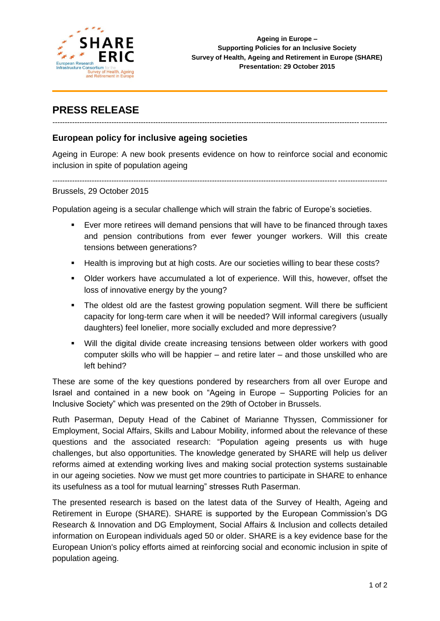

# **PRESS RELEASE**

## *----------------------------------------------------------------------------------------------------------------------------------------*

### **European policy for inclusive ageing societies**

Ageing in Europe: A new book presents evidence on how to reinforce social and economic inclusion in spite of population ageing

*----------------------------------------------------------------------------------------------------------------------------------------*

#### Brussels, 29 October 2015

Population ageing is a secular challenge which will strain the fabric of Europe's societies.

- Ever more retirees will demand pensions that will have to be financed through taxes and pension contributions from ever fewer younger workers. Will this create tensions between generations?
- Health is improving but at high costs. Are our societies willing to bear these costs?
- Older workers have accumulated a lot of experience. Will this, however, offset the loss of innovative energy by the young?
- The oldest old are the fastest growing population segment. Will there be sufficient capacity for long-term care when it will be needed? Will informal caregivers (usually daughters) feel lonelier, more socially excluded and more depressive?
- Will the digital divide create increasing tensions between older workers with good computer skills who will be happier – and retire later – and those unskilled who are left behind?

These are some of the key questions pondered by researchers from all over Europe and Israel and contained in a new book on "Ageing in Europe – Supporting Policies for an Inclusive Society" which was presented on the 29th of October in Brussels.

Ruth Paserman, Deputy Head of the Cabinet of Marianne Thyssen, Commissioner for Employment, Social Affairs, Skills and Labour Mobility, informed about the relevance of these questions and the associated research: "Population ageing presents us with huge challenges, but also opportunities. The knowledge generated by SHARE will help us deliver reforms aimed at extending working lives and making social protection systems sustainable in our ageing societies. Now we must get more countries to participate in SHARE to enhance its usefulness as a tool for mutual learning" stresses Ruth Paserman.

The presented research is based on the latest data of the Survey of Health, Ageing and Retirement in Europe (SHARE). SHARE is supported by the European Commission's DG Research & Innovation and DG Employment, Social Affairs & Inclusion and collects detailed information on European individuals aged 50 or older. SHARE is a key evidence base for the European Union's policy efforts aimed at reinforcing social and economic inclusion in spite of population ageing.